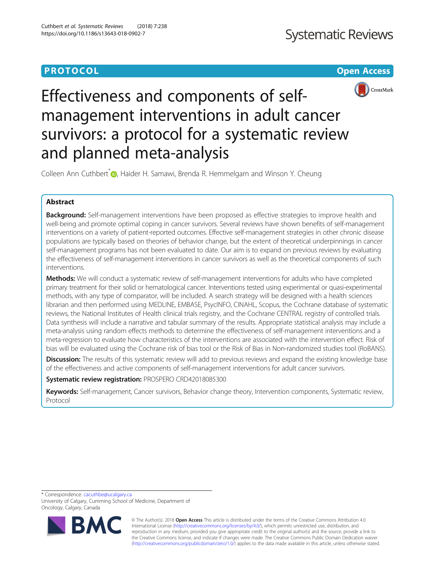# **PROTOCOL CONSUMING THE OPEN ACCESS**



# Effectiveness and components of selfmanagement interventions in adult cancer survivors: a protocol for a systematic review and planned meta-analysis

Colleen Ann Cuthbert<sup>[\\*](http://orcid.org/0000-0002-0940-2802)</sup> , Haider H. Samawi, Brenda R. Hemmelgarn and Winson Y. Cheung

# Abstract

Background: Self-management interventions have been proposed as effective strategies to improve health and well-being and promote optimal coping in cancer survivors. Several reviews have shown benefits of self-management interventions on a variety of patient-reported outcomes. Effective self-management strategies in other chronic disease populations are typically based on theories of behavior change, but the extent of theoretical underpinnings in cancer self-management programs has not been evaluated to date. Our aim is to expand on previous reviews by evaluating the effectiveness of self-management interventions in cancer survivors as well as the theoretical components of such interventions.

Methods: We will conduct a systematic review of self-management interventions for adults who have completed primary treatment for their solid or hematological cancer. Interventions tested using experimental or quasi-experimental methods, with any type of comparator, will be included. A search strategy will be designed with a health sciences librarian and then performed using MEDLINE, EMBASE, PsycINFO, CINAHL, Scopus, the Cochrane database of systematic reviews, the National Institutes of Health clinical trials registry, and the Cochrane CENTRAL registry of controlled trials. Data synthesis will include a narrative and tabular summary of the results. Appropriate statistical analysis may include a meta-analysis using random effects methods to determine the effectiveness of self-management interventions and a meta-regression to evaluate how characteristics of the interventions are associated with the intervention effect. Risk of bias will be evaluated using the Cochrane risk of bias tool or the Risk of Bias in Non-randomized studies tool (RoBANS).

**Discussion:** The results of this systematic review will add to previous reviews and expand the existing knowledge base of the effectiveness and active components of self-management interventions for adult cancer survivors.

Systematic review registration: PROSPERO CRD42018085300

Keywords: Self-management, Cancer survivors, Behavior change theory, Intervention components, Systematic review, Protocol

\* Correspondence: [cacuthbe@ucalgary.ca](mailto:cacuthbe@ucalgary.ca)

University of Calgary, Cumming School of Medicine, Department of Oncology, Calgary, Canada



© The Author(s). 2018 Open Access This article is distributed under the terms of the Creative Commons Attribution 4.0 International License [\(http://creativecommons.org/licenses/by/4.0/](http://creativecommons.org/licenses/by/4.0/)), which permits unrestricted use, distribution, and reproduction in any medium, provided you give appropriate credit to the original author(s) and the source, provide a link to the Creative Commons license, and indicate if changes were made. The Creative Commons Public Domain Dedication waiver [\(http://creativecommons.org/publicdomain/zero/1.0/](http://creativecommons.org/publicdomain/zero/1.0/)) applies to the data made available in this article, unless otherwise stated.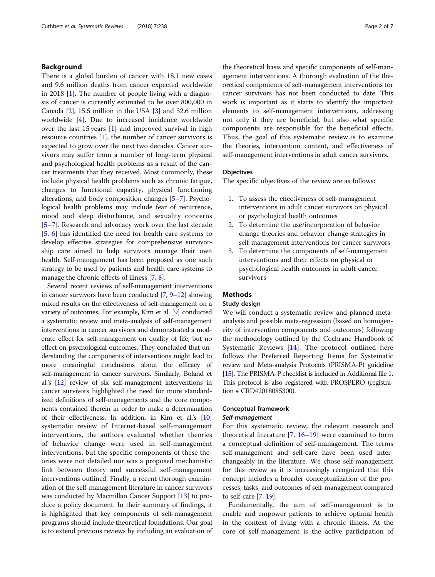# Background

There is a global burden of cancer with 18.1 new cases and 9.6 million deaths from cancer expected worldwide in 2018 [\[1](#page-5-0)]. The number of people living with a diagnosis of cancer is currently estimated to be over 800,000 in Canada [[2](#page-5-0)], 15.5 million in the USA [[3\]](#page-5-0) and 32.6 million worldwide [[4\]](#page-5-0). Due to increased incidence worldwide over the last 15 years [\[1\]](#page-5-0) and improved survival in high resource countries [[1\]](#page-5-0), the number of cancer survivors is expected to grow over the next two decades. Cancer survivors may suffer from a number of long-term physical and psychological health problems as a result of the cancer treatments that they received. Most commonly, these include physical health problems such as chronic fatigue, changes to functional capacity, physical functioning alterations, and body composition changes [\[5](#page-5-0)–[7\]](#page-5-0). Psychological health problems may include fear of recurrence, mood and sleep disturbance, and sexuality concerns [[5](#page-5-0)–[7\]](#page-5-0). Research and advocacy work over the last decade [[5,](#page-5-0) [6\]](#page-5-0) has identified the need for health care systems to develop effective strategies for comprehensive survivorship care aimed to help survivors manage their own health. Self-management has been proposed as one such strategy to be used by patients and health care systems to manage the chronic effects of illness [\[7](#page-5-0), [8\]](#page-5-0).

Several recent reviews of self-management interventions in cancer survivors have been conducted [[7](#page-5-0), [9](#page-5-0)–[12](#page-5-0)] showing mixed results on the effectiveness of self-management on a variety of outcomes. For example, Kim et al. [[9](#page-5-0)] conducted a systematic review and meta-analysis of self-management interventions in cancer survivors and demonstrated a moderate effect for self-management on quality of life, but no effect on psychological outcomes. They concluded that understanding the components of interventions might lead to more meaningful conclusions about the efficacy of self-management in cancer survivors. Similarly, Boland et al.'s [\[12](#page-5-0)] review of six self-management interventions in cancer survivors highlighted the need for more standardized definitions of self-managements and the core components contained therein in order to make a determination of their effectiveness. In addition, in Kim et al.'s [\[10](#page-5-0)] systematic review of Internet-based self-management interventions, the authors evaluated whether theories of behavior change were used in self-management interventions, but the specific components of these theories were not detailed nor was a proposed mechanistic link between theory and successful self-management interventions outlined. Finally, a recent thorough examination of the self-management literature in cancer survivors was conducted by Macmillan Cancer Support [[13](#page-5-0)] to produce a policy document. In their summary of findings, it is highlighted that key components of self-management programs should include theoretical foundations. Our goal is to extend previous reviews by including an evaluation of

the theoretical basis and specific components of self-management interventions. A thorough evaluation of the theoretical components of self-management interventions for cancer survivors has not been conducted to date. This work is important as it starts to identify the important elements to self-management interventions, addressing not only if they are beneficial, but also what specific components are responsible for the beneficial effects. Thus, the goal of this systematic review is to examine the theories, intervention content, and effectiveness of self-management interventions in adult cancer survivors.

#### **Objectives**

The specific objectives of the review are as follows:

- 1. To assess the effectiveness of self-management interventions in adult cancer survivors on physical or psychological health outcomes
- 2. To determine the use/incorporation of behavior change theories and behavior change strategies in self-management interventions for cancer survivors
- 3. To determine the components of self-management interventions and their effects on physical or psychological health outcomes in adult cancer survivors

## Methods

#### Study design

We will conduct a systematic review and planned metaanalysis and possible meta-regression (based on homogeneity of intervention components and outcomes) following the methodology outlined by the Cochrane Handbook of Systematic Reviews [[14\]](#page-5-0). The protocol outlined here follows the Preferred Reporting Items for Systematic review and Meta-analysis Protocols (PRISMA-P) guideline [[15\]](#page-5-0). The PRISMA-P checklist is included in Additional file [1](#page-5-0). This protocol is also registered with PROSPERO (registration # CRD42018085300).

# Conceptual framework

# Self-management

For this systematic review, the relevant research and theoretical literature  $[7, 16-19]$  $[7, 16-19]$  $[7, 16-19]$  $[7, 16-19]$  $[7, 16-19]$  $[7, 16-19]$  were examined to form a conceptual definition of self-management. The terms self-management and self-care have been used interchangeably in the literature. We chose self-management for this review as it is increasingly recognized that this concept includes a broader conceptualization of the processes, tasks, and outcomes of self-management compared to self-care [\[7](#page-5-0), [19\]](#page-6-0).

Fundamentally, the aim of self-management is to enable and empower patients to achieve optimal health in the context of living with a chronic illness. At the core of self-management is the active participation of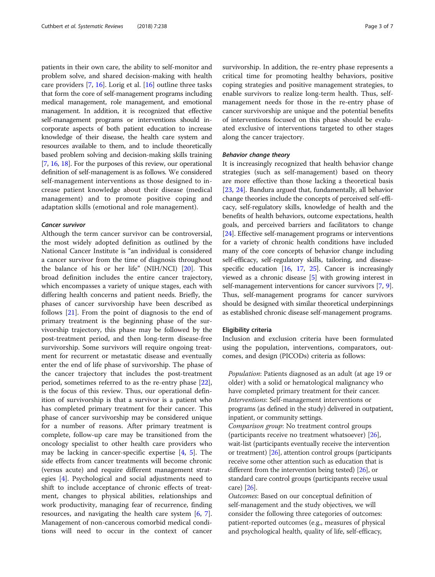patients in their own care, the ability to self-monitor and problem solve, and shared decision-making with health care providers [[7,](#page-5-0) [16\]](#page-5-0). Lorig et al. [\[16\]](#page-5-0) outline three tasks that form the core of self-management programs including medical management, role management, and emotional management. In addition, it is recognized that effective self-management programs or interventions should incorporate aspects of both patient education to increase knowledge of their disease, the health care system and resources available to them, and to include theoretically based problem solving and decision-making skills training [[7,](#page-5-0) [16,](#page-5-0) [18](#page-5-0)]. For the purposes of this review, our operational definition of self-management is as follows. We considered self-management interventions as those designed to increase patient knowledge about their disease (medical management) and to promote positive coping and adaptation skills (emotional and role management).

#### Cancer survivor

Although the term cancer survivor can be controversial, the most widely adopted definition as outlined by the National Cancer Institute is "an individual is considered a cancer survivor from the time of diagnosis throughout the balance of his or her life" (NIH/NCI) [[20\]](#page-6-0). This broad definition includes the entire cancer trajectory, which encompasses a variety of unique stages, each with differing health concerns and patient needs. Briefly, the phases of cancer survivorship have been described as follows [[21\]](#page-6-0). From the point of diagnosis to the end of primary treatment is the beginning phase of the survivorship trajectory, this phase may be followed by the post-treatment period, and then long-term disease-free survivorship. Some survivors will require ongoing treatment for recurrent or metastatic disease and eventually enter the end of life phase of survivorship. The phase of the cancer trajectory that includes the post-treatment period, sometimes referred to as the re-entry phase [\[22](#page-6-0)], is the focus of this review. Thus, our operational definition of survivorship is that a survivor is a patient who has completed primary treatment for their cancer. This phase of cancer survivorship may be considered unique for a number of reasons. After primary treatment is complete, follow-up care may be transitioned from the oncology specialist to other health care providers who may be lacking in cancer-specific expertise [[4,](#page-5-0) [5](#page-5-0)]. The side effects from cancer treatments will become chronic (versus acute) and require different management strategies [\[4](#page-5-0)]. Psychological and social adjustments need to shift to include acceptance of chronic effects of treatment, changes to physical abilities, relationships and work productivity, managing fear of recurrence, finding resources, and navigating the health care system [\[6](#page-5-0), [7](#page-5-0)]. Management of non-cancerous comorbid medical conditions will need to occur in the context of cancer

survivorship. In addition, the re-entry phase represents a critical time for promoting healthy behaviors, positive coping strategies and positive management strategies, to enable survivors to realize long-term health. Thus, selfmanagement needs for those in the re-entry phase of cancer survivorship are unique and the potential benefits of interventions focused on this phase should be evaluated exclusive of interventions targeted to other stages along the cancer trajectory.

#### Behavior change theory

It is increasingly recognized that health behavior change strategies (such as self-management) based on theory are more effective than those lacking a theoretical basis [[23,](#page-6-0) [24](#page-6-0)]. Bandura argued that, fundamentally, all behavior change theories include the concepts of perceived self-efficacy, self-regulatory skills, knowledge of health and the benefits of health behaviors, outcome expectations, health goals, and perceived barriers and facilitators to change [[24](#page-6-0)]. Effective self-management programs or interventions for a variety of chronic health conditions have included many of the core concepts of behavior change including self-efficacy, self-regulatory skills, tailoring, and diseasespecific education  $[16, 17, 25]$  $[16, 17, 25]$  $[16, 17, 25]$  $[16, 17, 25]$  $[16, 17, 25]$  $[16, 17, 25]$ . Cancer is increasingly viewed as a chronic disease [[5](#page-5-0)] with growing interest in self-management interventions for cancer survivors [[7](#page-5-0), [9](#page-5-0)]. Thus, self-management programs for cancer survivors should be designed with similar theoretical underpinnings as established chronic disease self-management programs.

#### Eligibility criteria

Inclusion and exclusion criteria have been formulated using the population, interventions, comparators, outcomes, and design (PICODs) criteria as follows:

Population: Patients diagnosed as an adult (at age 19 or older) with a solid or hematological malignancy who have completed primary treatment for their cancer. Interventions: Self-management interventions or programs (as defined in the study) delivered in outpatient, inpatient, or community settings.

Comparison group: No treatment control groups (participants receive no treatment whatsoever) [[26\]](#page-6-0), wait-list (participants eventually receive the intervention or treatment) [\[26\]](#page-6-0), attention control groups (participants receive some other attention such as education that is different from the intervention being tested) [[26](#page-6-0)], or standard care control groups (participants receive usual care) [[26](#page-6-0)].

Outcomes: Based on our conceptual definition of self-management and the study objectives, we will consider the following three categories of outcomes: patient-reported outcomes (e.g., measures of physical and psychological health, quality of life, self-efficacy,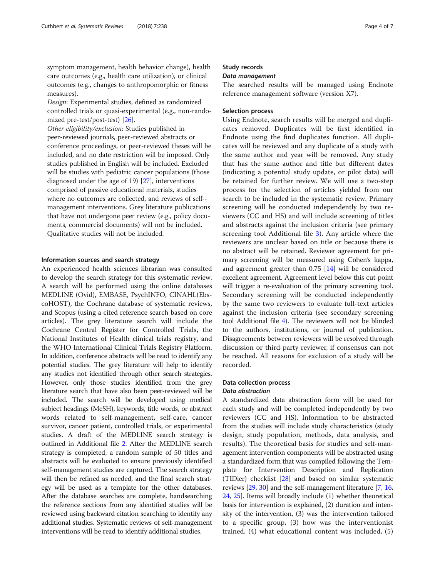symptom management, health behavior change), health care outcomes (e.g., health care utilization), or clinical outcomes (e.g., changes to anthropomorphic or fitness measures).

Design: Experimental studies, defined as randomized controlled trials or quasi-experimental (e.g., non-randomized pre-test/post-test) [\[26](#page-6-0)].

Other eligibility/exclusion: Studies published in peer-reviewed journals, peer-reviewed abstracts or conference proceedings, or peer-reviewed theses will be included, and no date restriction will be imposed. Only studies published in English will be included. Excluded will be studies with pediatric cancer populations (those diagnosed under the age of 19) [[27](#page-6-0)], interventions comprised of passive educational materials, studies where no outcomes are collected, and reviews of self- management interventions. Grey literature publications that have not undergone peer review (e.g., policy documents, commercial documents) will not be included. Qualitative studies will not be included.

#### Information sources and search strategy

An experienced health sciences librarian was consulted to develop the search strategy for this systematic review. A search will be performed using the online databases MEDLINE (Ovid), EMBASE, PsychINFO, CINAHL(EbscoHOST), the Cochrane database of systematic reviews, and Scopus (using a cited reference search based on core articles). The grey literature search will include the Cochrane Central Register for Controlled Trials, the National Institutes of Health clinical trials registry, and the WHO International Clinical Trials Registry Platform. In addition, conference abstracts will be read to identify any potential studies. The grey literature will help to identify any studies not identified through other search strategies. However, only those studies identified from the grey literature search that have also been peer-reviewed will be included. The search will be developed using medical subject headings (MeSH), keywords, title words, or abstract words related to self-management, self-care, cancer survivor, cancer patient, controlled trials, or experimental studies. A draft of the MEDLINE search strategy is outlined in Additional file [2.](#page-5-0) After the MEDLINE search strategy is completed, a random sample of 50 titles and abstracts will be evaluated to ensure previously identified self-management studies are captured. The search strategy will then be refined as needed, and the final search strategy will be used as a template for the other databases. After the database searches are complete, handsearching the reference sections from any identified studies will be reviewed using backward citation searching to identify any additional studies. Systematic reviews of self-management interventions will be read to identify additional studies.

# Study records

#### Data management

The searched results will be managed using Endnote reference management software (version X7).

#### Selection process

Using Endnote, search results will be merged and duplicates removed. Duplicates will be first identified in Endnote using the find duplicates function. All duplicates will be reviewed and any duplicate of a study with the same author and year will be removed. Any study that has the same author and title but different dates (indicating a potential study update, or pilot data) will be retained for further review. We will use a two-step process for the selection of articles yielded from our search to be included in the systematic review. Primary screening will be conducted independently by two reviewers (CC and HS) and will include screening of titles and abstracts against the inclusion criteria (see primary screening tool Additional file [3](#page-5-0)). Any article where the reviewers are unclear based on title or because there is no abstract will be retained. Reviewer agreement for primary screening will be measured using Cohen's kappa, and agreement greater than 0.75 [[14](#page-5-0)] will be considered excellent agreement. Agreement level below this cut-point will trigger a re-evaluation of the primary screening tool. Secondary screening will be conducted independently by the same two reviewers to evaluate full-text articles against the inclusion criteria (see secondary screening tool Additional file [4\)](#page-5-0). The reviewers will not be blinded to the authors, institutions, or journal of publication. Disagreements between reviewers will be resolved through discussion or third-party reviewer, if consensus can not be reached. All reasons for exclusion of a study will be recorded.

# Data collection process

# Data abstraction

A standardized data abstraction form will be used for each study and will be completed independently by two reviewers (CC and HS). Information to be abstracted from the studies will include study characteristics (study design, study population, methods, data analysis, and results). The theoretical basis for studies and self-management intervention components will be abstracted using a standardized form that was compiled following the Template for Intervention Description and Replication (TIDier) checklist [[28](#page-6-0)] and based on similar systematic reviews [\[29,](#page-6-0) [30](#page-6-0)] and the self-management literature [\[7,](#page-5-0) [16](#page-5-0), [24](#page-6-0), [25](#page-6-0)]. Items will broadly include (1) whether theoretical basis for intervention is explained, (2) duration and intensity of the intervention, (3) was the intervention tailored to a specific group, (3) how was the interventionist trained, (4) what educational content was included, (5)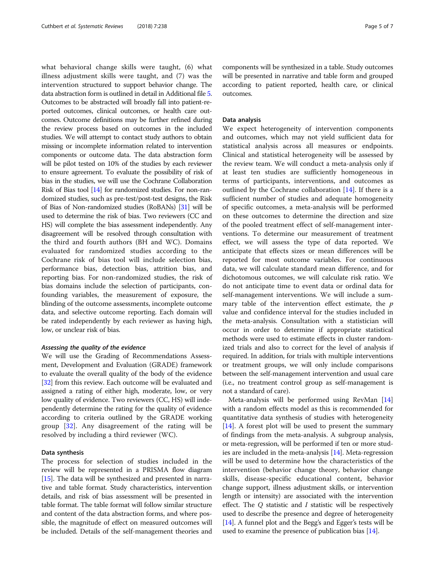what behavioral change skills were taught, (6) what illness adjustment skills were taught, and (7) was the intervention structured to support behavior change. The data abstraction form is outlined in detail in Additional file [5](#page-5-0). Outcomes to be abstracted will broadly fall into patient-reported outcomes, clinical outcomes, or health care outcomes. Outcome definitions may be further refined during the review process based on outcomes in the included studies. We will attempt to contact study authors to obtain missing or incomplete information related to intervention components or outcome data. The data abstraction form will be pilot tested on 10% of the studies by each reviewer to ensure agreement. To evaluate the possibility of risk of bias in the studies, we will use the Cochrane Collaboration Risk of Bias tool [\[14\]](#page-5-0) for randomized studies. For non-randomized studies, such as pre-test/post-test designs, the Risk of Bias of Non-randomized studies (RoBANs) [\[31\]](#page-6-0) will be used to determine the risk of bias. Two reviewers (CC and HS) will complete the bias assessment independently. Any disagreement will be resolved through consultation with the third and fourth authors (BH and WC). Domains evaluated for randomized studies according to the Cochrane risk of bias tool will include selection bias, performance bias, detection bias, attrition bias, and reporting bias. For non-randomized studies, the risk of bias domains include the selection of participants, confounding variables, the measurement of exposure, the blinding of the outcome assessments, incomplete outcome data, and selective outcome reporting. Each domain will be rated independently by each reviewer as having high, low, or unclear risk of bias.

#### Assessing the quality of the evidence

We will use the Grading of Recommendations Assessment, Development and Evaluation (GRADE) framework to evaluate the overall quality of the body of the evidence [[32](#page-6-0)] from this review. Each outcome will be evaluated and assigned a rating of either high, moderate, low, or very low quality of evidence. Two reviewers (CC, HS) will independently determine the rating for the quality of evidence according to criteria outlined by the GRADE working group [\[32](#page-6-0)]. Any disagreement of the rating will be resolved by including a third reviewer (WC).

## Data synthesis

The process for selection of studies included in the review will be represented in a PRISMA flow diagram [[15](#page-5-0)]. The data will be synthesized and presented in narrative and table format. Study characteristics, intervention details, and risk of bias assessment will be presented in table format. The table format will follow similar structure and content of the data abstraction forms, and where possible, the magnitude of effect on measured outcomes will be included. Details of the self-management theories and components will be synthesized in a table. Study outcomes will be presented in narrative and table form and grouped according to patient reported, health care, or clinical outcomes.

#### Data analysis

We expect heterogeneity of intervention components and outcomes, which may not yield sufficient data for statistical analysis across all measures or endpoints. Clinical and statistical heterogeneity will be assessed by the review team. We will conduct a meta-analysis only if at least ten studies are sufficiently homogeneous in terms of participants, interventions, and outcomes as outlined by the Cochrane collaboration  $[14]$  $[14]$ . If there is a sufficient number of studies and adequate homogeneity of specific outcomes, a meta-analysis will be performed on these outcomes to determine the direction and size of the pooled treatment effect of self-management interventions. To determine our measurement of treatment effect, we will assess the type of data reported. We anticipate that effects sizes or mean differences will be reported for most outcome variables. For continuous data, we will calculate standard mean difference, and for dichotomous outcomes, we will calculate risk ratio. We do not anticipate time to event data or ordinal data for self-management interventions. We will include a summary table of the intervention effect estimate, the  $p$ value and confidence interval for the studies included in the meta-analysis. Consultation with a statistician will occur in order to determine if appropriate statistical methods were used to estimate effects in cluster randomized trials and also to correct for the level of analysis if required. In addition, for trials with multiple interventions or treatment groups, we will only include comparisons between the self-management intervention and usual care (i.e., no treatment control group as self-management is not a standard of care).

Meta-analysis will be performed using RevMan [[14](#page-5-0)] with a random effects model as this is recommended for quantitative data synthesis of studies with heterogeneity [[14\]](#page-5-0). A forest plot will be used to present the summary of findings from the meta-analysis. A subgroup analysis, or meta-regression, will be performed if ten or more studies are included in the meta-analysis [\[14\]](#page-5-0). Meta-regression will be used to determine how the characteristics of the intervention (behavior change theory, behavior change skills, disease-specific educational content, behavior change support, illness adjustment skills, or intervention length or intensity) are associated with the intervention effect. The  $Q$  statistic and  $I$  statistic will be respectively used to describe the presence and degree of heterogeneity [[14](#page-5-0)]. A funnel plot and the Begg's and Egger's tests will be used to examine the presence of publication bias [[14](#page-5-0)].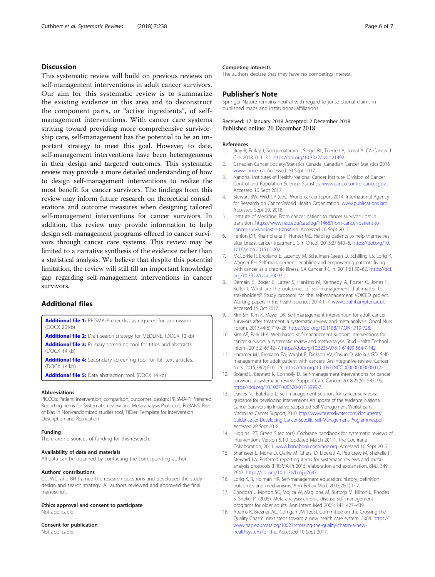# <span id="page-5-0"></span>**Discussion**

This systematic review will build on previous reviews on self-management interventions in adult cancer survivors. Our aim for this systematic review is to summarize the existing evidence in this area and to deconstruct the component parts, or "active ingredients", of selfmanagement interventions. With cancer care systems striving toward providing more comprehensive survivorship care, self-management has the potential to be an important strategy to meet this goal. However, to date, self-management interventions have been heterogeneous in their design and targeted outcomes. This systematic review may provide a more detailed understanding of how to design self-management interventions to realize the most benefit for cancer survivors. The findings from this review may inform future research on theoretical considerations and outcome measures when designing tailored self-management interventions for cancer survivors. In addition, this review may provide information to help design self-management programs offered to cancer survivors through cancer care systems. This review may be limited to a narrative synthesis of the evidence rather than a statistical analysis. We believe that despite this potential limitation, the review will still fill an important knowledge gap regarding self-management interventions in cancer survivors.

# Additional files

[Additional file 1:](https://doi.org/10.1186/s13643-018-0902-7) PRISMA-P checklist as required for submission. (DOCX 20 kb)

[Additional file 2:](https://doi.org/10.1186/s13643-018-0902-7) Draft search strategy for MEDLINE. (DOCX 12 kb) [Additional file 3:](https://doi.org/10.1186/s13643-018-0902-7) Primary screening tool for titles and abstracts. (DOCX 14 kb)

[Additional file 4:](https://doi.org/10.1186/s13643-018-0902-7) Secondary screening tool for full text articles. (DOCX 14 kb)

[Additional file 5:](https://doi.org/10.1186/s13643-018-0902-7) Data abstraction tool. (DOCX 14 kb)

#### Abbreviations

PICODs: Patient, intervention, comparison, outcomes, design; PRISMA-P: Preferred Reporting Items for Systematic review and Meta-analysis Protocols; RoBANS: Risk of Bias in Non-randomized studies tool; TIDier: Template for Intervention Description and Replication

#### Funding

There are no sources of funding for this research.

#### Availability of data and materials

All data can be obtained by contacting the corresponding author.

#### Authors' contributions

CC, WC, and BH framed the research questions and developed the study design and search strategy. All authors reviewed and approved the final manuscript.

Ethics approval and consent to participate Not applicable

## Consent for publication

Not applicable

#### Competing interests

The authors declare that they have no competing interest.

### Publisher's Note

Springer Nature remains neutral with regard to jurisdictional claims in published maps and institutional affiliations.

# Received: 17 January 2018 Accepted: 2 December 2018

#### References

- 1. Bray R, Ferlay J, Soerjomataram I, Siegel RL, Toerre LA, Jemal A. CA Cancer J Clin 2018; 0: 1–31. [https://doi.org/10.3322/caac.21492.](https://doi.org/10.3322/caac.21492)
- 2. Canadian Cancer Society/Statistics Canada. Canadian Cancer Statistics 2016 [www.cancer.ca](http://www.cancer.ca). Accessed 10 Sept 2017.
- 3. National Institutes of Health/National Cancer Institute. Division of Cancer Control and Population Science, Statistics. [www.cancercontrol.cancer.gov.](http://www.cancercontrol.cancer.gov) Accessed 10 Sept 2017.
- 4. Stewart BW, Wild CP (eds). World cancer report 2014. International Agency for Research on Cancer/World Health Organization. [www.publications.iarc](http://www.publications.iarc). Accessed Sept 29, 2018.
- 5. Institute of Medicine. From cancer patient to cancer survivor: Lost in transition. [https://www.nap.edu/catalog/11468/from-cancer-patient-to](https://www.nap.edu/catalog/11468/from-cancer-patient-to-cancer-survivor-lostin-transition)[cancer-survivor-lostin-transition.](https://www.nap.edu/catalog/11468/from-cancer-patient-to-cancer-survivor-lostin-transition) Accessed 10 Sept 2017.
- 6. Fenlon DR, Khambhaita P, Hunter MS. Helping patients to help themselves after breast cancer treatment. Clin Oncol. 2015;27:640–6. [https://doi.org/10.](https://doi.org/10.1016/jclon.2015.05.002) [1016/jclon.2015.05.002.](https://doi.org/10.1016/jclon.2015.05.002)
- 7. McCorkle R, Ercolano E, Lazenby M, Schulman-Green D, Schilling LS, Lorig K, Wagner EH. Self-management: enabling and empowering patients living with cancer as a chronic illness. CA Cancer J Clin. 2011;61:50–62. [https://doi.](https://doi.org/10.3322/caac.20093) [org/10.3322/caac.20093.](https://doi.org/10.3322/caac.20093)
- 8. Demain S, Boger E, Latter S, Hankins M, Kennedy A, Foster C, Jones F, Keller I. What are the outcomes of self-management that matter to stakeholders? Study protocol for the self-management VOICED project. Working papers in the health sciences 2014;1–7. [www.southhampton.ac.uk.](http://www.southhampton.ac.uk) Accessed 15 Oct 2017.
- 9. Kim SH, Kim K, Mayer DK. Self-management intervention for adult cancer survivors after treatment: a systematic review and meta-analysis. Oncol Nurs Forum. 2017;44(6):719–28. <https://doi.org/10.1188/17.ONF.719-728>.
- 10. Kim AE, Park H-A. Web-based self-management support interventions for cancer survivors: a systematic review and meta-analysis. Stud Health Technol Inform. 2015;216:142–7. <https://doi.org/10.3233/978-1-61499-564-7-142>.
- 11. Hammer MJ, Ercolano EA, Wright F, Dickson VV, Chyun D, Melkus GD. Selfmanagement for adult patient with cancers. An integrative review. Cancer Nurs. 2015;38(2):E10–26. <https://doi.org/10.1097/NCC.0000000000000122>.
- 12. Boland L, Bennett K, Connolly D. Self-management interventions for cancer survivors: a systematic review. Support Care Cancer. 2018;25(5):1585–95. <https://doi.org/10.1007/s00520-017-3999-7>.
- 13. Davies NJ, Batehup L. Self-management support for cancer survivors: guidance for developing interventions An update of the evidence. National Cancer Survivorship Initiative Supported Self-Management Workstream. Macmillan Cancer Support, 2010. [http://www.trustedwriter.com/documents/](http://www.trustedwriter.com/documents/Guidance-for-Developing-Cancer-Specific-Self-Management-Programmes.pdf) [Guidance-for-Developing-Cancer-Specific-Self-Management-Programmes.pdf.](http://www.trustedwriter.com/documents/Guidance-for-Developing-Cancer-Specific-Self-Management-Programmes.pdf) Accessed 29 Sept 2018.
- 14. Higgins JPT, Green S (editors). Cochrane handbook for systematic reviews of interventions Version 5.1.0 (updated March 2011). The Cochrane Collaboration, 2011. [www.handbook.cochrane.org.](http://www.handbook.cochrane.org) Accessed 10 Sept 2017.
- 15. Shamseer L, Mohe D, Clarke M, Ghersi D, Liberati A, Petticrew M, Shekelle P, Steward LA. Preferred reporting items for systematic reviews and metaanalysis protocols (PRISMA-P) 2015: elaboration and explanation. BMJ. 349: 7647. [https://doi.org/10.1136/bmj.g7647.](https://doi.org/10.1136/bmj.g7647)
- 16. Lorig K, R, Holman HR. Self-management education: history, definition outcomes and mechanisms. Ann Behav Med. 2003;26(1):1–7.
- 17. Chodosh J, Morton SC, Mojica W, Maglione M, Suttorp M, Hilton L, Rhodes S, Shekel P. (2005). Meta-analysis: chronic disease self-management programs for older adults. Ann Intern Med 2005; 143: 427–439.
- 18. Adams K, Brezner AC, Corrigan JM. (eds). Committee on the Crossing the Quality Chasm: next steps toward a new health care system. 2004. [https://](https://www.nap.edu/catalog/10027/crossing-the-quality-chasm-a-new-healthsystem-for-the) [www.nap.edu/catalog/10027/crossing-the-quality-chasm-a-new](https://www.nap.edu/catalog/10027/crossing-the-quality-chasm-a-new-healthsystem-for-the)[healthsystem-for-the](https://www.nap.edu/catalog/10027/crossing-the-quality-chasm-a-new-healthsystem-for-the). Accessed 10 Sept 2017.